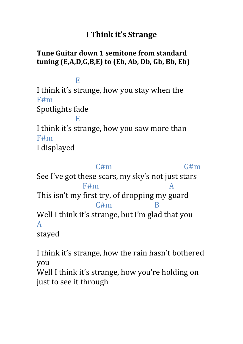## **I Think it's Strange**

## **Tune Guitar down 1 semitone from standard tuning (E,A,D,G,B,E) to (Eb, Ab, Db, Gb, Bb, Eb)**

E

I think it's strange, how you stay when the F#m Spotlights fade

 E I think it's strange, how you saw more than F#m

I displayed

 $C \# m$   $G \# m$ See I've got these scars, my sky's not just stars F#m A This isn't my first try, of dropping my guard C#m B Well I think it's strange, but I'm glad that you A stayed

I think it's strange, how the rain hasn't bothered you

Well I think it's strange, how you're holding on just to see it through